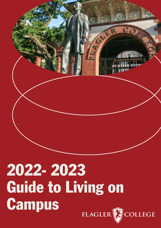

## 2022- 2023 Guide to Living on **Campus**

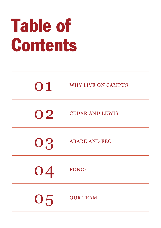# Table of Contents

| 01 | <b>WHY LIVE ON CAMPUS</b> |
|----|---------------------------|
| 02 | <b>CEDAR AND LEWIS</b>    |
| 03 | <b>ABARE AND FEC</b>      |
| 04 | <b>PONCE</b>              |
| 05 | <b>OUR TEAM</b>           |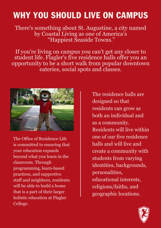### WHY YOU SHOULD LIVE ON CAMPUS

There's something about St. Augustine, a city named by Coastal Living as one of America's "Happiest Seaside Towns."

If you're living on campus you can't get any closer to student life. Flagler's five [residence](https://www.flagler.edu/student-life/living-on-campus/residence-halls/) halls offer you an opportunity to be a short walk from popular downtown eateries, social spots and classes.



The Office of Residence Life is committed to ensuring that your education expands beyond what you learn in the classroom. Through programming, learn-based practices, and supportive staff and neighbors, residents will be able to build a home that is a part of their larger holistic education at Flagler College.

The residence halls are designed so that residents can grow as both an individual and as a community. Residents will live within one of our five residence halls and will live and create a community with students from varying identities, backgrounds, personalities, educational interests, religions/faiths, and geographic locations.

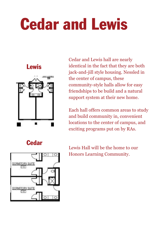## Cedar and Lewis

### Lewis



Cedar and Lewis hall are nearly identical in the fact that they are both jack-and-jill style housing. Nessled in the center of campus, these community-style halls allow for easy friendships to be build and a natural support system at their new home.

Each hall offers common areas to study and build community in, convenient locations to the center of campus, and exciting programs put on by RAs.





Lewis Hall will be the home to our Honors Learning Community.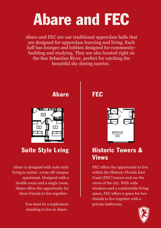### Abare and FEC

Abare and FEC are our traditional upperclass halls that are designed for upperclass learning and living. Each hall has lounges and lobbies designed for communitybuilding and studying. They are also located right on the San Sebastian River, perfect for catching the beautiful sky during sunrise.



Abare is designed with suite style living to mimic a true off-campus apartment. Designed with a double room and a single room, Abare offers the opportunity for three friends to live together.

> You must be a sophomore standing to live in Abare.

Abare FEC



### Suite Style Lving | Historic Towers & Views

FEC offers the opportunity to live within the Historic Florida East Coast (FEC) towers and see the views of the city. With wide windows and a comfortable living space, FEC offers a space for two friends to live together with a private bathroom.

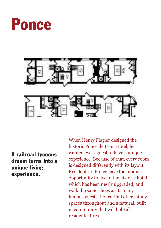



A railroad tycoons dream turns into a unique living experience.

When Henry Flagler designed the historic Ponce de Leon Hotel, he wanted every guest to have a unique experience. Because of that, every room is designed differently with its layout. Residents of Ponce have the unique opportunity to live in the historic hotel, which has been newly upgraded, and walk the same shoes as its many famous guests. Ponce Hall offers study spaces throughout and a natural, built in community that will help all residents thrive.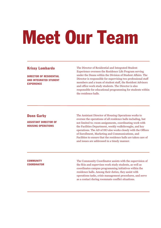# Meet Our Team

### Krissy Lombardo

DIRECTOR OF RESIDENTIAL AND INTEGRATED STUDENT EXPERIENCE

The Director of Residential and Integrated Student Experience oversees the Residence Life Program serving under the Deans within the Division of Student Affairs. The Director is responsible for supervising two professional staff members and a team of student staff, the Resident Advisors and office work study students. The Director is also responsible for educational programming for students within the residence halls.

### Donn Garby

ASSISTANT DIRECTOR OF HOUSING OPERATIONS

The Assistant Director of Housing Operations works to oversee the operations of all residence halls including, but not limited to; room assignments, coordinating work with the Facilities Department, weekly walkthroughs, and key operations. The AD of HO also works closely with the Offices of Enrollment, Marketing and Communications, and Facilities to ensure that the residence halls are taken care of and issues are addressed in a timely manner.

### **COMMUNITY COORDINATOR**

The Community Coordinator assists with the supervision of the RAs and supervises work study students, as well as coordinates campus programming initiatives within the residence halls. Among their duties, they assist with operations tasks, crisis management procedures, and serve as a contact during roommate conflict situations.